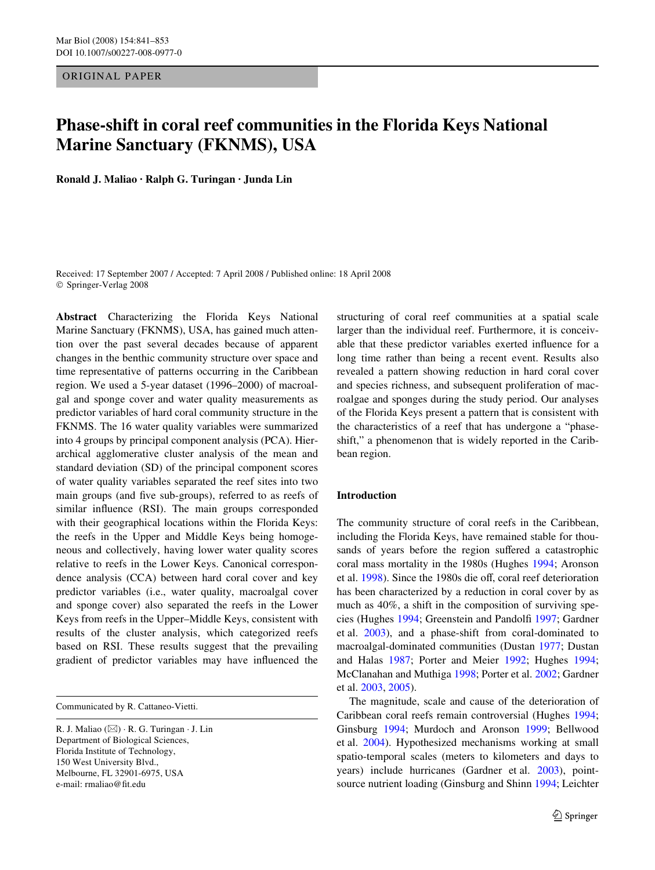ORIGINAL PAPER

# **Phase-shift in coral reef communities in the Florida Keys National Marine Sanctuary (FKNMS), USA**

**Ronald J. Maliao · Ralph G. Turingan · Junda Lin** 

Received: 17 September 2007 / Accepted: 7 April 2008 / Published online: 18 April 2008 © Springer-Verlag 2008

**Abstract** Characterizing the Florida Keys National Marine Sanctuary (FKNMS), USA, has gained much attention over the past several decades because of apparent changes in the benthic community structure over space and time representative of patterns occurring in the Caribbean region. We used a 5-year dataset (1996–2000) of macroalgal and sponge cover and water quality measurements as predictor variables of hard coral community structure in the FKNMS. The 16 water quality variables were summarized into 4 groups by principal component analysis (PCA). Hierarchical agglomerative cluster analysis of the mean and standard deviation (SD) of the principal component scores of water quality variables separated the reef sites into two main groups (and five sub-groups), referred to as reefs of similar influence (RSI). The main groups corresponded with their geographical locations within the Florida Keys: the reefs in the Upper and Middle Keys being homogeneous and collectively, having lower water quality scores relative to reefs in the Lower Keys. Canonical correspondence analysis (CCA) between hard coral cover and key predictor variables (i.e., water quality, macroalgal cover and sponge cover) also separated the reefs in the Lower Keys from reefs in the Upper–Middle Keys, consistent with results of the cluster analysis, which categorized reefs based on RSI. These results suggest that the prevailing gradient of predictor variables may have influenced the

Communicated by R. Cattaneo-Vietti.

structuring of coral reef communities at a spatial scale larger than the individual reef. Furthermore, it is conceivable that these predictor variables exerted influence for a long time rather than being a recent event. Results also revealed a pattern showing reduction in hard coral cover and species richness, and subsequent proliferation of macroalgae and sponges during the study period. Our analyses of the Florida Keys present a pattern that is consistent with the characteristics of a reef that has undergone a "phaseshift," a phenomenon that is widely reported in the Caribbean region.

## **Introduction**

The community structure of coral reefs in the Caribbean, including the Florida Keys, have remained stable for thousands of years before the region suffered a catastrophic coral mass mortality in the 1980s (Hughes [1994;](#page-11-0) Aronson et al. [1998](#page-10-0)). Since the 1980s die off, coral reef deterioration has been characterized by a reduction in coral cover by as much as 40%, a shift in the composition of surviving spe-cies (Hughes [1994](#page-11-0); Greenstein and Pandolfi [1997](#page-11-1); Gardner et al. [2003\)](#page-11-2), and a phase-shift from coral-dominated to macroalgal-dominated communities (Dustan [1977;](#page-10-1) Dustan and Halas [1987](#page-11-3); Porter and Meier [1992](#page-12-0); Hughes [1994;](#page-11-0) McClanahan and Muthiga [1998;](#page-11-4) Porter et al. [2002](#page-12-1); Gardner et al. [2003](#page-11-2), [2005](#page-11-5)).

The magnitude, scale and cause of the deterioration of Caribbean coral reefs remain controversial (Hughes [1994;](#page-11-0) Ginsburg [1994;](#page-11-6) Murdoch and Aronson [1999;](#page-11-7) Bellwood et al. [2004\)](#page-10-2). Hypothesized mechanisms working at small spatio-temporal scales (meters to kilometers and days to years) include hurricanes (Gardner et al. [2003](#page-11-2)), pointsource nutrient loading (Ginsburg and Shinn [1994;](#page-11-8) Leichter

R. J. Maliao  $(\boxtimes) \cdot R$ . G. Turingan  $\cdot$  J. Lin Department of Biological Sciences, Florida Institute of Technology, 150 West University Blvd., Melbourne, FL 32901-6975, USA e-mail: rmaliao@fit.edu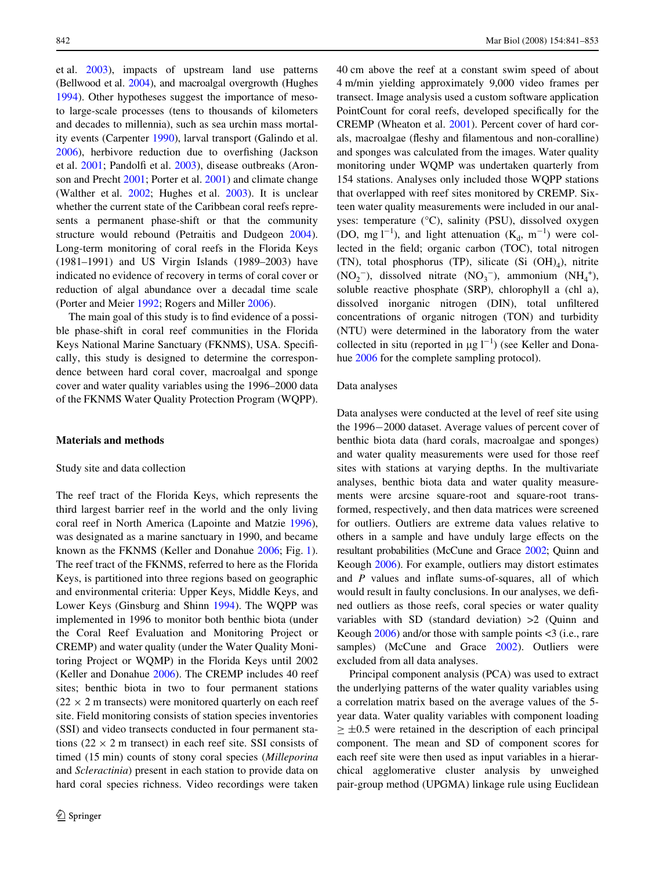et al. [2003](#page-11-9)), impacts of upstream land use patterns (Bellwood et al. [2004](#page-10-2)), and macroalgal overgrowth (Hughes [1994](#page-11-0)). Other hypotheses suggest the importance of mesoto large-scale processes (tens to thousands of kilometers and decades to millennia), such as sea urchin mass mortality events (Carpenter [1990\)](#page-10-3), larval transport (Galindo et al.  $2006$ ), herbivore reduction due to overfishing (Jackson et al. [2001;](#page-11-11) Pandolfi et al. [2003\)](#page-11-12), disease outbreaks (Aronson and Precht [2001](#page-10-4); Porter et al. [2001](#page-12-2)) and climate change (Walther et al. [2002;](#page-12-3) Hughes et al. [2003](#page-11-13)). It is unclear whether the current state of the Caribbean coral reefs represents a permanent phase-shift or that the community structure would rebound (Petraitis and Dudgeon [2004](#page-12-4)). Long-term monitoring of coral reefs in the Florida Keys (1981–1991) and US Virgin Islands (1989–2003) have indicated no evidence of recovery in terms of coral cover or reduction of algal abundance over a decadal time scale (Porter and Meier [1992;](#page-12-0) Rogers and Miller [2006](#page-12-5)).

The main goal of this study is to find evidence of a possible phase-shift in coral reef communities in the Florida Keys National Marine Sanctuary (FKNMS), USA. Specifically, this study is designed to determine the correspondence between hard coral cover, macroalgal and sponge cover and water quality variables using the 1996–2000 data of the FKNMS Water Quality Protection Program (WQPP).

## **Materials and methods**

#### Study site and data collection

The reef tract of the Florida Keys, which represents the third largest barrier reef in the world and the only living coral reef in North America (Lapointe and Matzie [1996](#page-11-14)), was designated as a marine sanctuary in 1990, and became known as the FKNMS (Keller and Donahue [2006](#page-11-15); Fig. [1](#page-2-0)). The reef tract of the FKNMS, referred to here as the Florida Keys, is partitioned into three regions based on geographic and environmental criteria: Upper Keys, Middle Keys, and Lower Keys (Ginsburg and Shinn [1994\)](#page-11-8). The WQPP was implemented in 1996 to monitor both benthic biota (under the Coral Reef Evaluation and Monitoring Project or CREMP) and water quality (under the Water Quality Monitoring Project or WQMP) in the Florida Keys until 2002 (Keller and Donahue [2006](#page-11-15)). The CREMP includes 40 reef sites; benthic biota in two to four permanent stations  $(22 \times 2 \text{ m}$  transects) were monitored quarterly on each reef site. Field monitoring consists of station species inventories (SSI) and video transects conducted in four permanent stations ( $22 \times 2$  m transect) in each reef site. SSI consists of timed (15 min) counts of stony coral species (*Milleporina* and *Scleractinia*) present in each station to provide data on hard coral species richness. Video recordings were taken 40 cm above the reef at a constant swim speed of about 4 m/min yielding approximately 9,000 video frames per transect. Image analysis used a custom software application PointCount for coral reefs, developed specifically for the CREMP (Wheaton et al. [2001](#page-12-6)). Percent cover of hard corals, macroalgae (fleshy and filamentous and non-coralline) and sponges was calculated from the images. Water quality monitoring under WQMP was undertaken quarterly from 154 stations. Analyses only included those WQPP stations that overlapped with reef sites monitored by CREMP. Sixteen water quality measurements were included in our analyses: temperature (°C), salinity (PSU), dissolved oxygen (DO, mg l<sup>-1</sup>), and light attenuation ( $K_d$ , m<sup>-1</sup>) were collected in the field; organic carbon (TOC), total nitrogen (TN), total phosphorus (TP), silicate (Si  $(OH)_4$ ), nitrite  $(NO<sub>2</sub><sup>-</sup>)$ , dissolved nitrate  $(NO<sub>3</sub><sup>-</sup>)$ , ammonium  $(NH<sub>4</sub><sup>+</sup>)$ , soluble reactive phosphate (SRP), chlorophyll a (chl a), dissolved inorganic nitrogen (DIN), total unfiltered concentrations of organic nitrogen (TON) and turbidity (NTU) were determined in the laboratory from the water collected in situ (reported in  $\mu$ g l<sup>-1</sup>) (see Keller and Donahue [2006](#page-11-15) for the complete sampling protocol).

#### Data analyses

Data analyses were conducted at the level of reef site using the 1996-2000 dataset. Average values of percent cover of benthic biota data (hard corals, macroalgae and sponges) and water quality measurements were used for those reef sites with stations at varying depths. In the multivariate analyses, benthic biota data and water quality measurements were arcsine square-root and square-root transformed, respectively, and then data matrices were screened for outliers. Outliers are extreme data values relative to others in a sample and have unduly large effects on the resultant probabilities (McCune and Grace [2002;](#page-11-16) Quinn and Keough [2006\)](#page-12-7). For example, outliers may distort estimates and  $P$  values and inflate sums-of-squares, all of which would result in faulty conclusions. In our analyses, we defined outliers as those reefs, coral species or water quality variables with SD (standard deviation) >2 (Quinn and Keough [2006](#page-12-7)) and/or those with sample points <3 (i.e., rare samples) (McCune and Grace [2002\)](#page-11-16). Outliers were excluded from all data analyses.

Principal component analysis (PCA) was used to extract the underlying patterns of the water quality variables using a correlation matrix based on the average values of the 5 year data. Water quality variables with component loading  $\geq \pm 0.5$  were retained in the description of each principal component. The mean and SD of component scores for each reef site were then used as input variables in a hierarchical agglomerative cluster analysis by unweighed pair-group method (UPGMA) linkage rule using Euclidean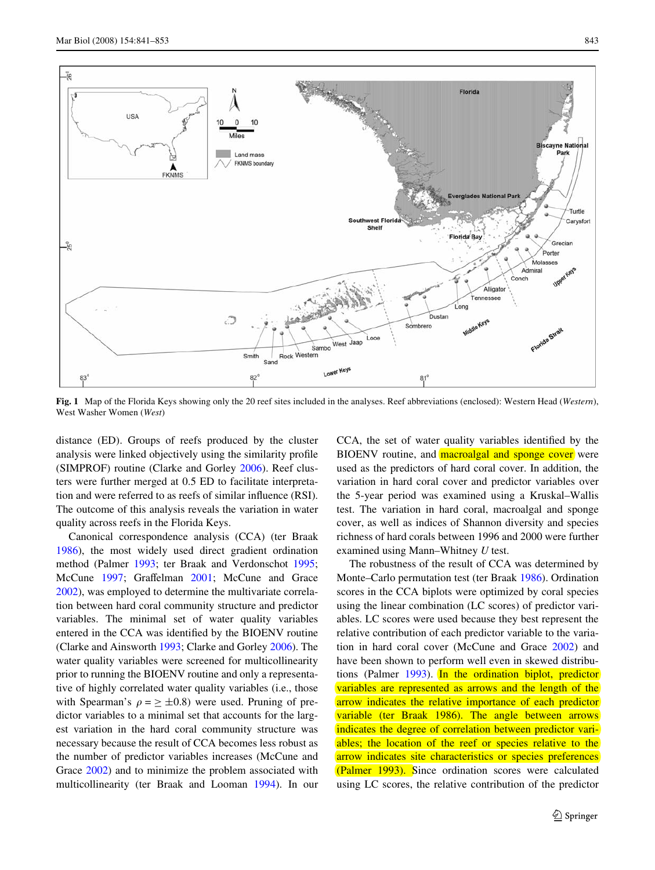

<span id="page-2-0"></span>**Fig. 1** Map of the Florida Keys showing only the 20 reef sites included in the analyses. Reef abbreviations (enclosed): Western Head (*Western*), West Washer Women (*West*)

distance (ED). Groups of reefs produced by the cluster analysis were linked objectively using the similarity profile (SIMPROF) routine (Clarke and Gorley [2006](#page-10-5)). Reef clusters were further merged at 0.5 ED to facilitate interpretation and were referred to as reefs of similar influence (RSI). The outcome of this analysis reveals the variation in water quality across reefs in the Florida Keys.

Canonical correspondence analysis (CCA) (ter Braak [1986](#page-12-8)), the most widely used direct gradient ordination method (Palmer [1993](#page-11-17); ter Braak and Verdonschot [1995](#page-12-9); McCune [1997](#page-11-18); Graffelman [2001](#page-11-19); McCune and Grace [2002](#page-11-16)), was employed to determine the multivariate correlation between hard coral community structure and predictor variables. The minimal set of water quality variables entered in the CCA was identified by the BIOENV routine (Clarke and Ainsworth [1993;](#page-10-6) Clarke and Gorley [2006](#page-10-5)). The water quality variables were screened for multicollinearity prior to running the BIOENV routine and only a representative of highly correlated water quality variables (i.e., those with Spearman's  $\rho = \pm 0.8$ ) were used. Pruning of predictor variables to a minimal set that accounts for the largest variation in the hard coral community structure was necessary because the result of CCA becomes less robust as the number of predictor variables increases (McCune and Grace [2002](#page-11-16)) and to minimize the problem associated with multicollinearity (ter Braak and Looman [1994\)](#page-12-10). In our CCA, the set of water quality variables identified by the BIOENV routine, and **macroalgal and sponge cover** were used as the predictors of hard coral cover. In addition, the variation in hard coral cover and predictor variables over the 5-year period was examined using a Kruskal–Wallis test. The variation in hard coral, macroalgal and sponge cover, as well as indices of Shannon diversity and species richness of hard corals between 1996 and 2000 were further examined using Mann–Whitney *U* test.

The robustness of the result of CCA was determined by Monte–Carlo permutation test (ter Braak [1986](#page-12-8)). Ordination scores in the CCA biplots were optimized by coral species using the linear combination (LC scores) of predictor variables. LC scores were used because they best represent the relative contribution of each predictor variable to the variation in hard coral cover (McCune and Grace [2002\)](#page-11-16) and have been shown to perform well even in skewed distributions (Palmer [1993\)](#page-11-17). In the ordination biplot, predictor variables are represented as arrows and the length of the arrow indicates the relative importance of each predictor variable (ter Braak [1986](#page-12-8)). The angle between arrows indicates the degree of correlation between predictor variables; the location of the reef or species relative to the arrow indicates site characteristics or species preferences (Palmer [1993](#page-11-17)). Since ordination scores were calculated using LC scores, the relative contribution of the predictor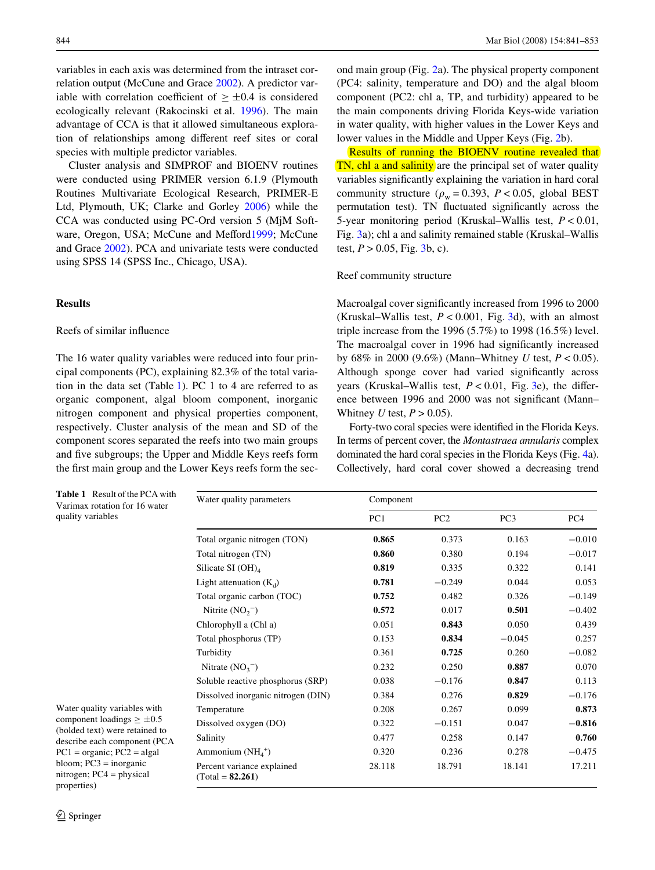variables in each axis was determined from the intraset correlation output (McCune and Grace [2002](#page-11-16)). A predictor variable with correlation coefficient of  $> \pm 0.4$  is considered ecologically relevant (Rakocinski et al. [1996](#page-12-11)). The main advantage of CCA is that it allowed simultaneous exploration of relationships among different reef sites or coral species with multiple predictor variables.

Cluster analysis and SIMPROF and BIOENV routines were conducted using PRIMER version 6.1.9 (Plymouth Routines Multivariate Ecological Research, PRIMER-E Ltd, Plymouth, UK; Clarke and Gorley [2006](#page-10-5)) while the CCA was conducted using PC-Ord version 5 (MjM Software, Oregon, USA; McCune and Meffor[d1999](#page-11-20); McCune and Grace [2002\)](#page-11-16). PCA and univariate tests were conducted using SPSS 14 (SPSS Inc., Chicago, USA).

#### **Results**

## Reefs of similar influence

The 16 water quality variables were reduced into four principal components (PC), explaining 82.3% of the total variation in the data set (Table [1](#page-3-0)). PC 1 to 4 are referred to as organic component, algal bloom component, inorganic nitrogen component and physical properties component, respectively. Cluster analysis of the mean and SD of the component scores separated the reefs into two main groups and five subgroups; the Upper and Middle Keys reefs form the first main group and the Lower Keys reefs form the second main group (Fig. [2a](#page-4-0)). The physical property component (PC4: salinity, temperature and DO) and the algal bloom component (PC2: chl a, TP, and turbidity) appeared to be the main components driving Florida Keys-wide variation in water quality, with higher values in the Lower Keys and lower values in the Middle and Upper Keys (Fig. [2b](#page-4-0)).

Results of running the BIOENV routine revealed that TN, chl a and salinity are the principal set of water quality variables significantly explaining the variation in hard coral community structure ( $\rho_w = 0.393$ ,  $P < 0.05$ , global BEST permutation test). TN fluctuated significantly across the 5-year monitoring period (Kruskal–Wallis test, *P* < 0.01, Fig. [3a](#page-4-1)); chl a and salinity remained stable (Kruskal–Wallis test,  $P > 0.05$ , Fig. [3b](#page-4-1), c).

## Reef community structure

Macroalgal cover significantly increased from 1996 to 2000 (Kruskal–Wallis test, *P* < 0.001, Fig. [3d](#page-4-1)), with an almost triple increase from the 1996 (5.7%) to 1998 (16.5%) level. The macroalgal cover in 1996 had significantly increased by 68% in 2000 (9.6%) (Mann–Whitney *U* test, *P* < 0.05). Although sponge cover had varied significantly across years (Kruskal–Wallis test,  $P < 0.01$ , Fig. [3](#page-4-1)e), the difference between 1996 and 2000 was not significant (Mann– Whitney *U* test,  $P > 0.05$ ).

Forty-two coral species were identified in the Florida Keys. In terms of percent cover, the *Montastraea annularis* complex dominated the hard coral species in the Florida Keys (Fig. [4](#page-5-0)a). Collectively, hard coral cover showed a decreasing trend

<span id="page-3-0"></span>

| Table 1 Result of the PCA with<br>Varimax rotation for 16 water       | Water quality parameters                         | Component |                 |                 |          |
|-----------------------------------------------------------------------|--------------------------------------------------|-----------|-----------------|-----------------|----------|
| quality variables                                                     |                                                  | PC1       | PC <sub>2</sub> | PC <sub>3</sub> | PC4      |
|                                                                       | Total organic nitrogen (TON)                     | 0.865     | 0.373           | 0.163           | $-0.010$ |
|                                                                       | Total nitrogen (TN)                              | 0.860     | 0.380           | 0.194           | $-0.017$ |
|                                                                       | Silicate SI $(OH)_{4}$                           | 0.819     | 0.335           | 0.322           | 0.141    |
|                                                                       | Light attenuation $(K_d)$                        | 0.781     | $-0.249$        | 0.044           | 0.053    |
|                                                                       | Total organic carbon (TOC)                       | 0.752     | 0.482           | 0.326           | $-0.149$ |
|                                                                       | Nitrite $(NO2-)$                                 | 0.572     | 0.017           | 0.501           | $-0.402$ |
|                                                                       | Chlorophyll a (Chl a)                            | 0.051     | 0.843           | 0.050           | 0.439    |
|                                                                       | Total phosphorus (TP)                            | 0.153     | 0.834           | $-0.045$        | 0.257    |
|                                                                       | Turbidity                                        | 0.361     | 0.725           | 0.260           | $-0.082$ |
|                                                                       | Nitrate $(NO_3^-)$                               | 0.232     | 0.250           | 0.887           | 0.070    |
|                                                                       | Soluble reactive phosphorus (SRP)                | 0.038     | $-0.176$        | 0.847           | 0.113    |
|                                                                       | Dissolved inorganic nitrogen (DIN)               | 0.384     | 0.276           | 0.829           | $-0.176$ |
| Water quality variables with                                          | Temperature                                      | 0.208     | 0.267           | 0.099           | 0.873    |
| component loadings $\geq \pm 0.5$                                     | Dissolved oxygen (DO)                            | 0.322     | $-0.151$        | 0.047           | $-0.816$ |
| (bolded text) were retained to<br>describe each component (PCA        | Salinity                                         | 0.477     | 0.258           | 0.147           | 0.760    |
| $PC1 = organic$ ; $PC2 = algal$                                       | Ammonium $(NH_4^+)$                              | 0.320     | 0.236           | 0.278           | $-0.475$ |
| bloom; $PC3 = inorganic$<br>nitrogen; $PC4 = physical$<br>properties) | Percent variance explained<br>$(Total = 82.261)$ | 28.118    | 18.791          | 18.141          | 17.211   |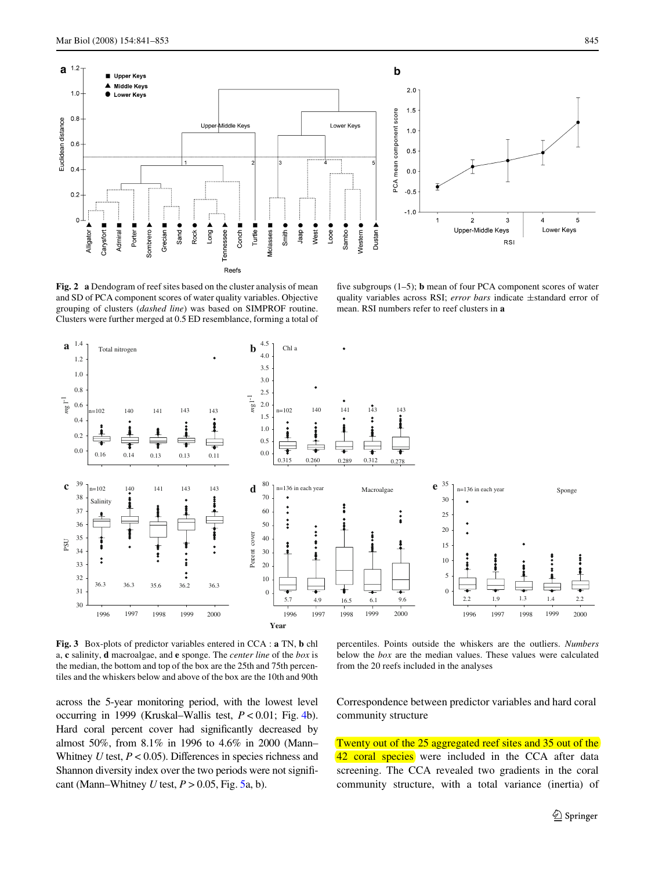

<span id="page-4-0"></span>**Fig. 2 a** Dendogram of reef sites based on the cluster analysis of mean and SD of PCA component scores of water quality variables. Objective grouping of clusters (*dashed line*) was based on SIMPROF routine. Clusters were further merged at 0.5 ED resemblance, forming a total of

five subgroups  $(1-5)$ ; **b** mean of four PCA component scores of water quality variables across RSI; *error bars* indicate  $\pm$ standard error of mean. RSI numbers refer to reef clusters in **a**



<span id="page-4-1"></span>**Fig. 3** Box-plots of predictor variables entered in CCA : **a** TN, **b** chl a, **c** salinity, **d** macroalgae, and **e** sponge. The *center line* of the *box* is the median, the bottom and top of the box are the 25th and 75th percentiles and the whiskers below and above of the box are the 10th and 90th

percentiles. Points outside the whiskers are the outliers. *Numbers* below the *box* are the median values. These values were calculated from the 20 reefs included in the analyses

across the 5-year monitoring period, with the lowest level occurring in 1999 (Kruskal–Wallis test, *P* < 0.01; Fig. [4b](#page-5-0)). Hard coral percent cover had significantly decreased by almost 50%, from 8.1% in 1996 to 4.6% in 2000 (Mann– Whitney *U* test,  $P < 0.05$ ). Differences in species richness and Shannon diversity index over the two periods were not significant (Mann–Whitney *U* test,  $P > 0.05$  $P > 0.05$ , Fig. 5a, b).

Correspondence between predictor variables and hard coral community structure

Twenty out of the 25 aggregated reef sites and 35 out of the 42 coral species were included in the CCA after data screening. The CCA revealed two gradients in the coral community structure, with a total variance (inertia) of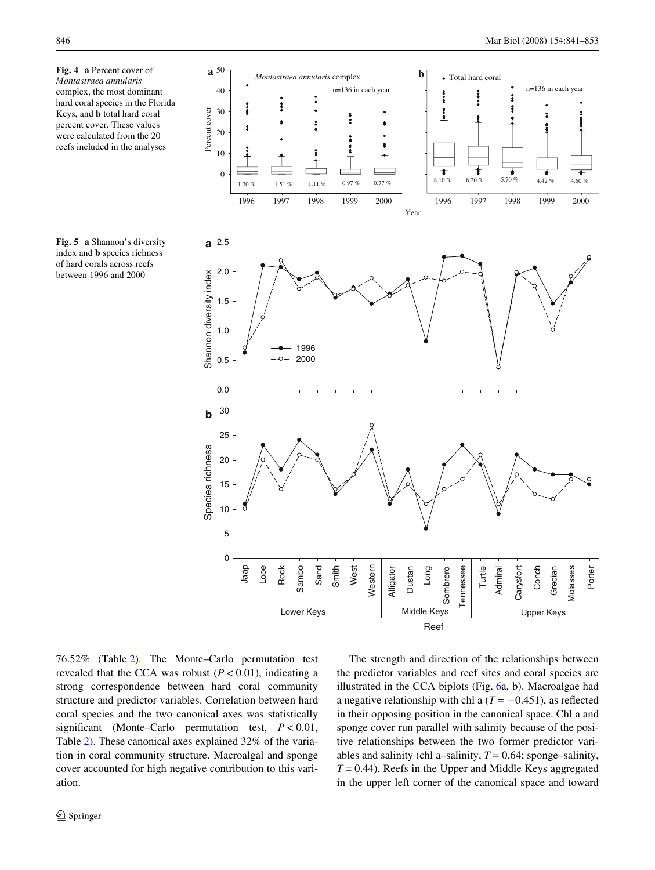<span id="page-5-0"></span>**Fig. 4 a** Percent cover of *Montastraea annularis* complex, the most dominant hard coral species in the Florida Keys, and **b** total hard coral percent cover. These values were calculated from the 20 reefs included in the analyses

<span id="page-5-1"></span>**Fig. 5 a** Shannon's diversity index and **b** species richness of hard corals across reefs between 1996 and 2000



76.52% (Table [2\)](#page-6-0). The Monte–Carlo permutation test revealed that the CCA was robust  $(P < 0.01)$ , indicating a strong correspondence between hard coral community structure and predictor variables. Correlation between hard coral species and the two canonical axes was statistically significant (Monte–Carlo permutation test,  $P < 0.01$ , Table [2](#page-6-0)). These canonical axes explained 32% of the variation in coral community structure. Macroalgal and sponge cover accounted for high negative contribution to this variation.

The strength and direction of the relationships between the predictor variables and reef sites and coral species are illustrated in the CCA biplots (Fig. [6a](#page-6-1), b). Macroalgae had a negative relationship with chl a  $(T = -0.451)$ , as reflected in their opposing position in the canonical space. Chl a and sponge cover run parallel with salinity because of the positive relationships between the two former predictor variables and salinity (chl a–salinity,  $T = 0.64$ ; sponge–salinity,  $T = 0.44$ ). Reefs in the Upper and Middle Keys aggregated in the upper left corner of the canonical space and toward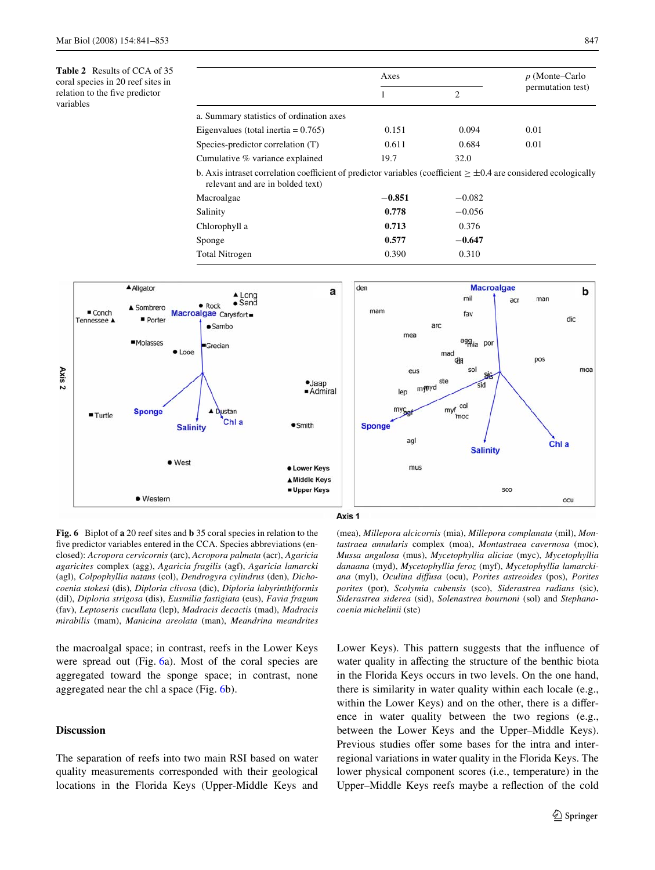<span id="page-6-0"></span>**Table 2** Results of CCA of 35 coral species in 20 reef sites in relation to the five predictor variables

|                                                                                                                                                             | Axes     |                | $p$ (Monte–Carlo  |
|-------------------------------------------------------------------------------------------------------------------------------------------------------------|----------|----------------|-------------------|
|                                                                                                                                                             |          | $\overline{c}$ | permutation test) |
| a. Summary statistics of ordination axes                                                                                                                    |          |                |                   |
| Eigenvalues (total inertia $= 0.765$ )                                                                                                                      | 0.151    | 0.094          | 0.01              |
| Species-predictor correlation (T)                                                                                                                           | 0.611    | 0.684          | 0.01              |
| Cumulative % variance explained                                                                                                                             | 19.7     | 32.0           |                   |
| b. Axis intraset correlation coefficient of predictor variables (coefficient $\geq \pm 0.4$ are considered ecologically<br>relevant and are in bolded text) |          |                |                   |
| Macroalgae                                                                                                                                                  | $-0.851$ | $-0.082$       |                   |
| Salinity                                                                                                                                                    | 0.778    | $-0.056$       |                   |
| Chlorophyll a                                                                                                                                               | 0.713    | 0.376          |                   |
| Sponge                                                                                                                                                      | 0.577    | $-0.647$       |                   |
| Total Nitrogen                                                                                                                                              | 0.390    | 0.310          |                   |



<span id="page-6-1"></span>**Fig. 6** Biplot of **a** 20 reef sites and **b** 35 coral species in relation to the five predictor variables entered in the CCA. Species abbreviations (enclosed): *Acropora cervicornis* (arc), *Acropora palmata* (acr), *Agaricia agaricites* complex (agg), *Agaricia fragilis* (agf), *Agaricia lamarcki* (agl), *Colpophyllia natans* (col), *Dendrogyra cylindrus* (den), *Dichocoenia stokesi* (dis), *Diploria clivosa* (dic), *Diploria labyrinthiformis* (dil), *Diploria strigosa* (dis), *Eusmilia fastigiata* (eus), *Favia fragum* (fav), *Leptoseris cucullata* (lep), *Madracis decactis* (mad), *Madracis mirabilis* (mam), *Manicina areolata* (man), *Meandrina meandrites*

the macroalgal space; in contrast, reefs in the Lower Keys were spread out (Fig. [6a](#page-6-1)). Most of the coral species are aggregated toward the sponge space; in contrast, none aggregated near the chl a space (Fig. [6b](#page-6-1)).

# **Discussion**

The separation of reefs into two main RSI based on water quality measurements corresponded with their geological locations in the Florida Keys (Upper-Middle Keys and

(mea), *Millepora alcicornis* (mia), *Millepora complanata* (mil), *Montastraea annularis* complex (moa), *Montastraea cavernosa* (moc), *Mussa angulosa* (mus), *Mycetophyllia aliciae* (myc), *Mycetophyllia danaana* (myd), *Mycetophyllia feroz* (myf), *Mycetophyllia lamarckiana* (myl), *Oculina diVusa* (ocu), *Porites astreoides* (pos), *Porites porites* (por), *Scolymia cubensis* (sco), *Siderastrea radians* (sic), *Siderastrea siderea* (sid), *Solenastrea bournoni* (sol) and *Stephanocoenia michelinii* (ste)

Lower Keys). This pattern suggests that the influence of water quality in affecting the structure of the benthic biota in the Florida Keys occurs in two levels. On the one hand, there is similarity in water quality within each locale (e.g., within the Lower Keys) and on the other, there is a difference in water quality between the two regions (e.g., between the Lower Keys and the Upper–Middle Keys). Previous studies offer some bases for the intra and interregional variations in water quality in the Florida Keys. The lower physical component scores (i.e., temperature) in the Upper–Middle Keys reefs maybe a reflection of the cold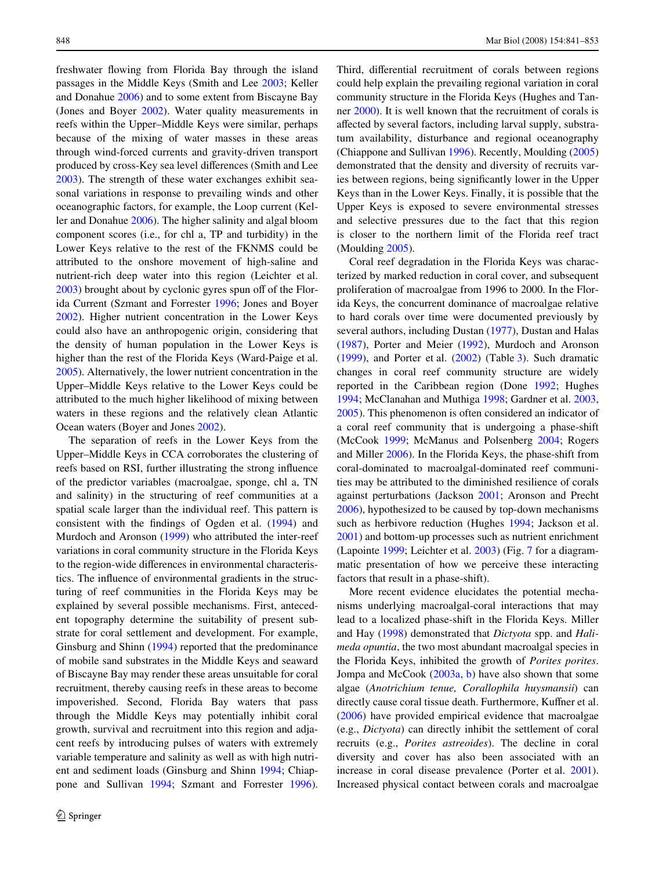freshwater flowing from Florida Bay through the island passages in the Middle Keys (Smith and Lee [2003](#page-12-12); Keller and Donahue [2006\)](#page-11-15) and to some extent from Biscayne Bay (Jones and Boyer [2002\)](#page-11-21). Water quality measurements in reefs within the Upper–Middle Keys were similar, perhaps because of the mixing of water masses in these areas through wind-forced currents and gravity-driven transport produced by cross-Key sea level differences (Smith and Lee [2003](#page-12-12)). The strength of these water exchanges exhibit seasonal variations in response to prevailing winds and other oceanographic factors, for example, the Loop current (Keller and Donahue [2006](#page-11-15)). The higher salinity and algal bloom component scores (i.e., for chl a, TP and turbidity) in the Lower Keys relative to the rest of the FKNMS could be attributed to the onshore movement of high-saline and nutrient-rich deep water into this region (Leichter et al.  $2003$ ) brought about by cyclonic gyres spun off of the Florida Current (Szmant and Forrester [1996;](#page-12-13) Jones and Boyer [2002](#page-11-21)). Higher nutrient concentration in the Lower Keys could also have an anthropogenic origin, considering that the density of human population in the Lower Keys is higher than the rest of the Florida Keys (Ward-Paige et al. [2005](#page-12-14)). Alternatively, the lower nutrient concentration in the Upper–Middle Keys relative to the Lower Keys could be attributed to the much higher likelihood of mixing between waters in these regions and the relatively clean Atlantic Ocean waters (Boyer and Jones [2002\)](#page-10-7).

The separation of reefs in the Lower Keys from the Upper–Middle Keys in CCA corroborates the clustering of reefs based on RSI, further illustrating the strong influence of the predictor variables (macroalgae, sponge, chl a, TN and salinity) in the structuring of reef communities at a spatial scale larger than the individual reef. This pattern is consistent with the findings of Ogden et al.  $(1994)$  $(1994)$  and Murdoch and Aronson ([1999\)](#page-11-7) who attributed the inter-reef variations in coral community structure in the Florida Keys to the region-wide differences in environmental characteristics. The influence of environmental gradients in the structuring of reef communities in the Florida Keys may be explained by several possible mechanisms. First, antecedent topography determine the suitability of present substrate for coral settlement and development. For example, Ginsburg and Shinn ([1994\)](#page-11-8) reported that the predominance of mobile sand substrates in the Middle Keys and seaward of Biscayne Bay may render these areas unsuitable for coral recruitment, thereby causing reefs in these areas to become impoverished. Second, Florida Bay waters that pass through the Middle Keys may potentially inhibit coral growth, survival and recruitment into this region and adjacent reefs by introducing pulses of waters with extremely variable temperature and salinity as well as with high nutrient and sediment loads (Ginsburg and Shinn [1994;](#page-11-8) Chiappone and Sullivan [1994](#page-10-8); Szmant and Forrester [1996](#page-12-13)).

Third, differential recruitment of corals between regions could help explain the prevailing regional variation in coral community structure in the Florida Keys (Hughes and Tanner [2000\)](#page-11-23). It is well known that the recruitment of corals is affected by several factors, including larval supply, substratum availability, disturbance and regional oceanography (Chiappone and Sullivan [1996](#page-10-9)). Recently, Moulding ([2005\)](#page-11-24) demonstrated that the density and diversity of recruits varies between regions, being significantly lower in the Upper Keys than in the Lower Keys. Finally, it is possible that the Upper Keys is exposed to severe environmental stresses and selective pressures due to the fact that this region is closer to the northern limit of the Florida reef tract (Moulding [2005](#page-11-24)).

Coral reef degradation in the Florida Keys was characterized by marked reduction in coral cover, and subsequent proliferation of macroalgae from 1996 to 2000. In the Florida Keys, the concurrent dominance of macroalgae relative to hard corals over time were documented previously by several authors, including Dustan ([1977\)](#page-10-1), Dustan and Halas [\(1987\)](#page-11-3), Porter and Meier [\(1992](#page-12-0)), Murdoch and Aronson [\(1999\)](#page-11-7), and Porter et al. ([2002\)](#page-12-1) (Table [3\)](#page-8-0). Such dramatic changes in coral reef community structure are widely reported in the Caribbean region (Done [1992](#page-10-10); Hughes [1994](#page-11-0); McClanahan and Muthiga [1998;](#page-11-4) Gardner et al. [2003,](#page-11-2) [2005](#page-11-5)). This phenomenon is often considered an indicator of a coral reef community that is undergoing a phase-shift (McCook [1999;](#page-11-25) McManus and Polsenberg [2004;](#page-11-26) Rogers and Miller [2006](#page-12-5)). In the Florida Keys, the phase-shift from coral-dominated to macroalgal-dominated reef communities may be attributed to the diminished resilience of corals against perturbations (Jackson [2001;](#page-11-27) Aronson and Precht [2006](#page-10-11)), hypothesized to be caused by top-down mechanisms such as herbivore reduction (Hughes [1994;](#page-11-0) Jackson et al. [2001](#page-11-11)) and bottom-up processes such as nutrient enrichment (Lapointe [1999;](#page-11-28) Leichter et al. [2003](#page-11-9)) (Fig. [7](#page-9-0) for a diagrammatic presentation of how we perceive these interacting factors that result in a phase-shift).

More recent evidence elucidates the potential mechanisms underlying macroalgal-coral interactions that may lead to a localized phase-shift in the Florida Keys. Miller and Hay ([1998\)](#page-11-29) demonstrated that *Dictyota* spp. and *Halimeda opuntia*, the two most abundant macroalgal species in the Florida Keys, inhibited the growth of *Porites porites*. Jompa and McCook ([2003a](#page-11-30), [b\)](#page-11-31) have also shown that some algae (*Anotrichium tenue, Corallophila huysmansii*) can directly cause coral tissue death. Furthermore, Kuffner et al. [\(2006\)](#page-11-32) have provided empirical evidence that macroalgae (e.g., *Dictyota*) can directly inhibit the settlement of coral recruits (e.g., *Porites astreoides*). The decline in coral diversity and cover has also been associated with an increase in coral disease prevalence (Porter et al. [2001](#page-12-2)). Increased physical contact between corals and macroalgae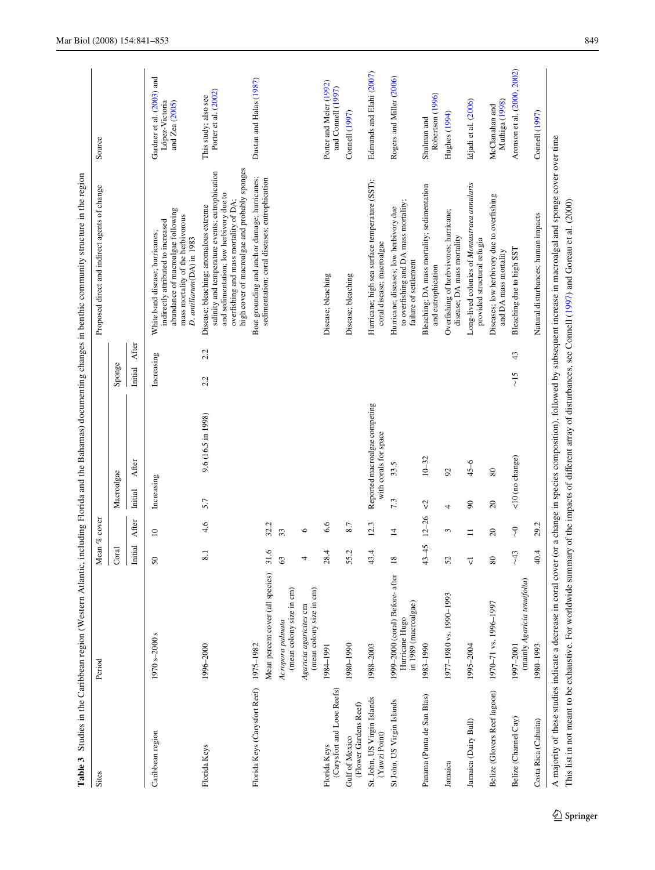| La Ulte J                                    | well the California China China Control of the Central Central Central Central Central Central Central Central Central Central Central Central Central Central Central Central Central Central Central Central Central Central |                          |                                               |                           |                                                        |                     |                                                                                                                                                                                                                                                                                 |                                                               |
|----------------------------------------------|--------------------------------------------------------------------------------------------------------------------------------------------------------------------------------------------------------------------------------|--------------------------|-----------------------------------------------|---------------------------|--------------------------------------------------------|---------------------|---------------------------------------------------------------------------------------------------------------------------------------------------------------------------------------------------------------------------------------------------------------------------------|---------------------------------------------------------------|
| Sites                                        | Period                                                                                                                                                                                                                         | Mean $\%$ cover          |                                               |                           |                                                        |                     | Proposed direct and indirect agents of change                                                                                                                                                                                                                                   | Source                                                        |
|                                              |                                                                                                                                                                                                                                | Coral                    |                                               | Macroalgae                |                                                        | Sponge              |                                                                                                                                                                                                                                                                                 |                                                               |
|                                              |                                                                                                                                                                                                                                | Initial<br>$\vert$       | After                                         | Initial                   | After                                                  | After<br>Initial    |                                                                                                                                                                                                                                                                                 |                                                               |
| Caribbean region                             | 1970 s-2000 s                                                                                                                                                                                                                  | $50\,$                   | $\Xi$                                         | Increasing                |                                                        | Increasing          | abundance of macroalgae following<br>mass mortality of the herbivorous<br>indirectly attributed to increased<br>White band disease; hurricanes;<br>D. antillarum(DA) in 1983                                                                                                    | Gardner et al. (2003) and<br>López-Victoria<br>and Zea (2005) |
| Florida Keys                                 | 1996-2000                                                                                                                                                                                                                      | $\overline{\phantom{0}}$ | 4.6                                           | 5.7                       | 9.6 (16.5 in 1998)                                     | 2.2<br>2.2          | high cover of macroalgae and probably sponges<br>salinity and temperature events; eutrophication<br>and sedimentation; low herbivory due to<br>overfishing and mass mortality of DA;<br>Disease; bleaching; anomalous extreme                                                   | Porter et al. (2002)<br>This study; also see                  |
| Florida Keys (Carysfort Reef) 1975-1982      |                                                                                                                                                                                                                                |                          |                                               |                           |                                                        |                     | Boat grounding and anchor damage; hurricanes;                                                                                                                                                                                                                                   | Dustan and Halas (1987)                                       |
|                                              | Mean percent cover (all species)                                                                                                                                                                                               | $\circ$<br>$\frac{1}{2}$ | 32.2                                          |                           |                                                        |                     | sedimentation; coral diseases; eutrophication                                                                                                                                                                                                                                   |                                                               |
|                                              | (mean colony size in cm)<br>Acropora palmata                                                                                                                                                                                   | $\mathcal{C}$            | 33                                            |                           |                                                        |                     |                                                                                                                                                                                                                                                                                 |                                                               |
|                                              | (mean colony size in cm)<br>Agaricia agaricites cm                                                                                                                                                                             | 4                        | $\bullet$                                     |                           |                                                        |                     |                                                                                                                                                                                                                                                                                 |                                                               |
| (Carysfort and Looe Reefs)<br>Florida Keys   | 1984-1991                                                                                                                                                                                                                      | 4<br>28.                 | 6.6                                           |                           |                                                        |                     | Disease; bleaching                                                                                                                                                                                                                                                              | Porter and Meier (1992)<br>and Connell (1997)                 |
| (Flower Gardens Reef)<br>Gulf of Mexico      | 1980-1990                                                                                                                                                                                                                      | Ċ<br>55.                 | 8.7                                           |                           |                                                        |                     | Disease; bleaching                                                                                                                                                                                                                                                              | <b>Connell</b> (1997)                                         |
| St. John, US Virgin Islands<br>(Yawzi Point) | 1988-2003                                                                                                                                                                                                                      | 4<br>43.                 | 12.3                                          |                           | Reported macroalgae competing<br>with corals for space |                     | Hurricane; high sea surface temperature (SST);<br>coral disease; macroalgae                                                                                                                                                                                                     | Edmunds and Elahi (2007)                                      |
| St John, US Virgin Islands                   | 1999-2000 (coral) Before-after<br>in 1989 (macroalgae)<br>Hurricane Hugo                                                                                                                                                       | $\overline{18}$          | $\overline{4}$                                | 7.3                       | 33.5                                                   |                     | to overfishing and DA mass mortality;<br>Hurricane; diseases; low herbivory due<br>failure of settlement                                                                                                                                                                        | Rogers and Miller (2006)                                      |
| Panama (Punta de San Blas)                   | 1983-1990                                                                                                                                                                                                                      | $43 - 45$                | $12 - 26$                                     | $\heartsuit$              | $10 - 32$                                              |                     | Bleaching; DA mass mortality; sedimentation<br>and eutrophication                                                                                                                                                                                                               | Robertson (1996)<br>Shulman and                               |
| Jamaica                                      | 1977-1980 vs. 1990-1993                                                                                                                                                                                                        | $\mathcal{S}$            | 3                                             | 4                         | 92                                                     |                     | Overfishing of herbvivores; hurricane;<br>disease; DA mass mortality                                                                                                                                                                                                            | Hughes (1994)                                                 |
| Jamaica (Dairy Bull)                         | 1995-2004                                                                                                                                                                                                                      | $\overline{\vee}$        | $\Xi$                                         | $\boldsymbol{90}$         | $45 - 6$                                               |                     | Long-lived colonies of Montastraea annularis<br>provided structural refugia                                                                                                                                                                                                     | Idjadi et al. (2006)                                          |
| Belize (Glovers Reef lagoon)                 | 1970-71 vs. 1996-1997                                                                                                                                                                                                          | $\pmb{80}$               | $\Omega$                                      | $\Omega$                  | $\rm 80$                                               |                     | Diseases; low herbivory due to overfishing<br>and DA mass mortality                                                                                                                                                                                                             | Muthiga (1998)<br>McClanahan and                              |
| Belize (Channel Cay)                         | (mainly Agaricia tenuifolia)<br>1997-2001                                                                                                                                                                                      | ë<br>र्                  | $\rm \frac{\textstyle\circ}{\textstyle\circ}$ | $(10 \text{ (no change)}$ |                                                        | 43<br>$\frac{5}{2}$ | Bleaching due to high SST                                                                                                                                                                                                                                                       | Aronson et al. (2000, 2002)                                   |
| Costa Rica (Cahuita)                         | 1980-1993                                                                                                                                                                                                                      | 40.4                     | 29.2                                          |                           |                                                        |                     | Natural disturbances; human impacts                                                                                                                                                                                                                                             | <b>Connell</b> (1997)                                         |
|                                              | A majority of these studies indicate a decrease in coral cover                                                                                                                                                                 |                          |                                               |                           |                                                        |                     | (or a change in species composition), followed by subsequent increase in macroalgal and sponge cover over time<br>This list in not meant to be exhaustive. For worldwide summary of the impacts of different array of disturbances, see Connell (1997) and Goreau et al. (2000) |                                                               |

<span id="page-8-0"></span>Table 3 Studies in the Caribbean region (Western Atlantic, including Florida and the Bahamas) documenting changes in benthic community structure in the region **Table 3** Studies in the Caribbean region (Western Atlantic, including Florida and the Bahamas) documenting changes in benthic community structure in the region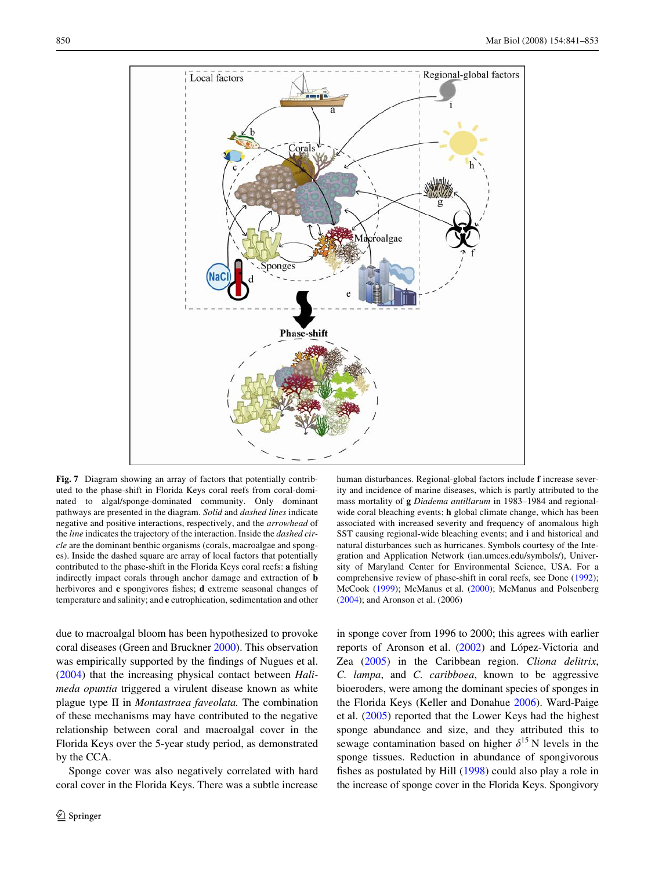

<span id="page-9-0"></span>**Fig. 7** Diagram showing an array of factors that potentially contributed to the phase-shift in Florida Keys coral reefs from coral-dominated to algal/sponge-dominated community. Only dominant pathways are presented in the diagram. *Solid* and *dashed lines* indicate negative and positive interactions, respectively, and the *arrowhead* of the *line* indicates the trajectory of the interaction. Inside the *dashed circle* are the dominant benthic organisms (corals, macroalgae and sponges). Inside the dashed square are array of local factors that potentially contributed to the phase-shift in the Florida Keys coral reefs: a fishing indirectly impact corals through anchor damage and extraction of **b** herbivores and **c** spongivores fishes; **d** extreme seasonal changes of temperature and salinity; and **e** eutrophication, sedimentation and other

due to macroalgal bloom has been hypothesized to provoke coral diseases (Green and Bruckner [2000](#page-11-37)). This observation was empirically supported by the findings of Nugues et al. [\(2004](#page-11-38)) that the increasing physical contact between *Halimeda opuntia* triggered a virulent disease known as white plague type II in *Montastraea faveolata.* The combination of these mechanisms may have contributed to the negative relationship between coral and macroalgal cover in the Florida Keys over the 5-year study period, as demonstrated by the CCA.

Sponge cover was also negatively correlated with hard coral cover in the Florida Keys. There was a subtle increase

human disturbances. Regional-global factors include **f** increase severity and incidence of marine diseases, which is partly attributed to the mass mortality of **g** *Diadema antillarum* in 1983–1984 and regionalwide coral bleaching events; **h** global climate change, which has been associated with increased severity and frequency of anomalous high SST causing regional-wide bleaching events; and **i** and historical and natural disturbances such as hurricanes. Symbols courtesy of the Integration and Application Network (ian.umces.edu/symbols/), University of Maryland Center for Environmental Science, USA. For a comprehensive review of phase-shift in coral reefs, see Done [\(1992](#page-10-10)); McCook ([1999](#page-11-25)); McManus et al. ([2000\)](#page-11-36); McManus and Polsenberg ([2004](#page-11-26)); and Aronson et al. (2006)

in sponge cover from 1996 to 2000; this agrees with earlier reports of Aronson et al. [\(2002\)](#page-10-14) and López-Victoria and Zea [\(2005](#page-11-33)) in the Caribbean region. *Cliona delitrix*, *C. lampa*, and *C. caribboea*, known to be aggressive bioeroders, were among the dominant species of sponges in the Florida Keys (Keller and Donahue [2006](#page-11-15)). Ward-Paige et al. [\(2005](#page-12-14)) reported that the Lower Keys had the highest sponge abundance and size, and they attributed this to sewage contamination based on higher  $\delta^{15}$  N levels in the sponge tissues. Reduction in abundance of spongivorous fishes as postulated by Hill  $(1998)$  could also play a role in the increase of sponge cover in the Florida Keys. Spongivory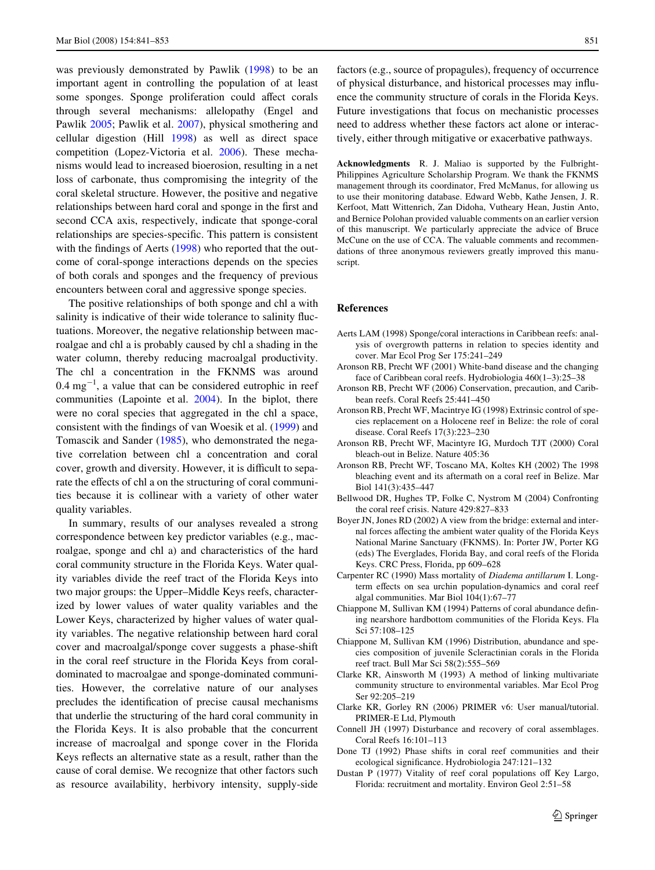was previously demonstrated by Pawlik ([1998\)](#page-11-40) to be an important agent in controlling the population of at least some sponges. Sponge proliferation could affect corals through several mechanisms: allelopathy (Engel and Pawlik [2005;](#page-11-41) Pawlik et al. [2007](#page-12-16)), physical smothering and cellular digestion (Hill [1998](#page-11-39)) as well as direct space competition (Lopez-Victoria et al. [2006](#page-11-42)). These mechanisms would lead to increased bioerosion, resulting in a net loss of carbonate, thus compromising the integrity of the coral skeletal structure. However, the positive and negative relationships between hard coral and sponge in the first and second CCA axis, respectively, indicate that sponge-coral relationships are species-specific. This pattern is consistent with the findings of Aerts  $(1998)$  $(1998)$  who reported that the outcome of coral-sponge interactions depends on the species of both corals and sponges and the frequency of previous encounters between coral and aggressive sponge species.

The positive relationships of both sponge and chl a with salinity is indicative of their wide tolerance to salinity fluctuations. Moreover, the negative relationship between macroalgae and chl a is probably caused by chl a shading in the water column, thereby reducing macroalgal productivity. The chl a concentration in the FKNMS was around  $0.4 \text{ mg}^{-1}$ , a value that can be considered eutrophic in reef communities (Lapointe et al. [2004](#page-11-43)). In the biplot, there were no coral species that aggregated in the chl a space, consistent with the findings of van Woesik et al. ([1999\)](#page-12-17) and Tomascik and Sander [\(1985](#page-12-18)), who demonstrated the negative correlation between chl a concentration and coral cover, growth and diversity. However, it is difficult to separate the effects of chl a on the structuring of coral communities because it is collinear with a variety of other water quality variables.

In summary, results of our analyses revealed a strong correspondence between key predictor variables (e.g., macroalgae, sponge and chl a) and characteristics of the hard coral community structure in the Florida Keys. Water quality variables divide the reef tract of the Florida Keys into two major groups: the Upper–Middle Keys reefs, characterized by lower values of water quality variables and the Lower Keys, characterized by higher values of water quality variables. The negative relationship between hard coral cover and macroalgal/sponge cover suggests a phase-shift in the coral reef structure in the Florida Keys from coraldominated to macroalgae and sponge-dominated communities. However, the correlative nature of our analyses precludes the identification of precise causal mechanisms that underlie the structuring of the hard coral community in the Florida Keys. It is also probable that the concurrent increase of macroalgal and sponge cover in the Florida Keys reflects an alternative state as a result, rather than the cause of coral demise. We recognize that other factors such as resource availability, herbivory intensity, supply-side

factors (e.g., source of propagules), frequency of occurrence of physical disturbance, and historical processes may influence the community structure of corals in the Florida Keys. Future investigations that focus on mechanistic processes need to address whether these factors act alone or interactively, either through mitigative or exacerbative pathways.

**Acknowledgments** R. J. Maliao is supported by the Fulbright-Philippines Agriculture Scholarship Program. We thank the FKNMS management through its coordinator, Fred McManus, for allowing us to use their monitoring database. Edward Webb, Kathe Jensen, J. R. Kerfoot, Matt Wittenrich, Zan Didoha, Vutheary Hean, Justin Anto, and Bernice Polohan provided valuable comments on an earlier version of this manuscript. We particularly appreciate the advice of Bruce McCune on the use of CCA. The valuable comments and recommendations of three anonymous reviewers greatly improved this manuscript.

## **References**

- <span id="page-10-15"></span>Aerts LAM (1998) Sponge/coral interactions in Caribbean reefs: analysis of overgrowth patterns in relation to species identity and cover. Mar Ecol Prog Ser 175:241–249
- <span id="page-10-4"></span>Aronson RB, Precht WF (2001) White-band disease and the changing face of Caribbean coral reefs. Hydrobiologia 460(1–3):25–38
- <span id="page-10-11"></span>Aronson RB, Precht WF (2006) Conservation, precaution, and Caribbean reefs. Coral Reefs 25:441–450
- <span id="page-10-0"></span>Aronson RB, Precht WF, Macintrye IG (1998) Extrinsic control of species replacement on a Holocene reef in Belize: the role of coral disease. Coral Reefs 17(3):223–230
- <span id="page-10-13"></span>Aronson RB, Precht WF, Macintyre IG, Murdoch TJT (2000) Coral bleach-out in Belize. Nature 405:36
- <span id="page-10-14"></span>Aronson RB, Precht WF, Toscano MA, Koltes KH (2002) The 1998 bleaching event and its aftermath on a coral reef in Belize. Mar Biol 141(3):435–447
- <span id="page-10-2"></span>Bellwood DR, Hughes TP, Folke C, Nystrom M (2004) Confronting the coral reef crisis. Nature 429:827–833
- <span id="page-10-7"></span>Boyer JN, Jones RD (2002) A view from the bridge: external and internal forces affecting the ambient water quality of the Florida Keys National Marine Sanctuary (FKNMS). In: Porter JW, Porter KG (eds) The Everglades, Florida Bay, and coral reefs of the Florida Keys. CRC Press, Florida, pp 609–628
- <span id="page-10-3"></span>Carpenter RC (1990) Mass mortality of *Diadema antillarum* I. Longterm effects on sea urchin population-dynamics and coral reef algal communities. Mar Biol 104(1):67–77
- <span id="page-10-8"></span>Chiappone M, Sullivan KM (1994) Patterns of coral abundance defining nearshore hardbottom communities of the Florida Keys. Fla Sci 57:108–125
- <span id="page-10-9"></span>Chiappone M, Sullivan KM (1996) Distribution, abundance and species composition of juvenile Scleractinian corals in the Florida reef tract. Bull Mar Sci 58(2):555–569
- <span id="page-10-6"></span>Clarke KR, Ainsworth M (1993) A method of linking multivariate community structure to environmental variables. Mar Ecol Prog Ser 92:205–219
- <span id="page-10-5"></span>Clarke KR, Gorley RN (2006) PRIMER v6: User manual/tutorial. PRIMER-E Ltd, Plymouth
- <span id="page-10-12"></span>Connell JH (1997) Disturbance and recovery of coral assemblages. Coral Reefs 16:101–113
- <span id="page-10-10"></span>Done TJ (1992) Phase shifts in coral reef communities and their ecological significance. Hydrobiologia 247:121-132
- <span id="page-10-1"></span>Dustan P (1977) Vitality of reef coral populations off Key Largo, Florida: recruitment and mortality. Environ Geol 2:51–58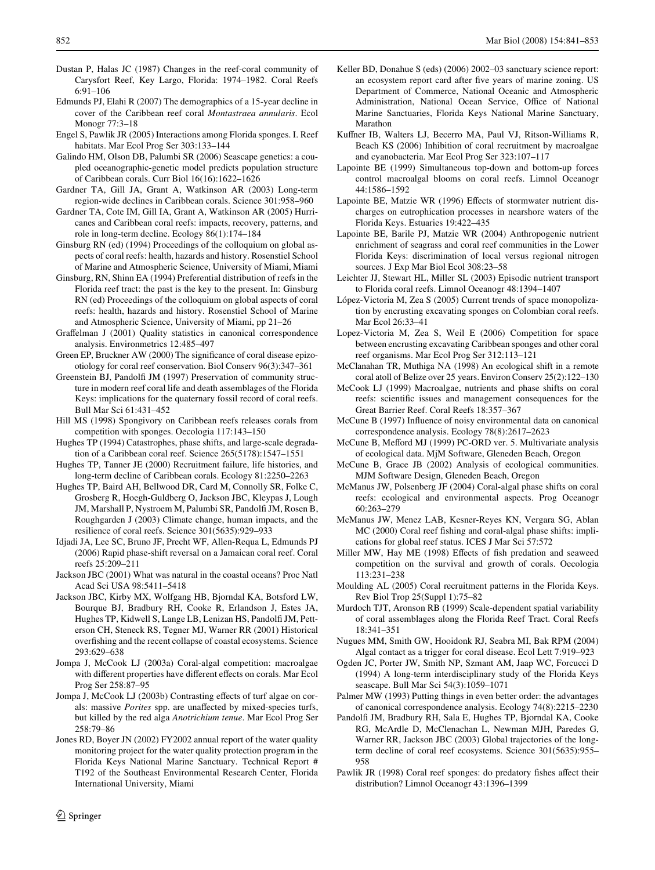- <span id="page-11-3"></span>Dustan P, Halas JC (1987) Changes in the reef-coral community of Carysfort Reef, Key Largo, Florida: 1974–1982. Coral Reefs 6:91–106
- <span id="page-11-34"></span>Edmunds PJ, Elahi R (2007) The demographics of a 15-year decline in cover of the Caribbean reef coral *Montastraea annularis*. Ecol Monogr 77:3–18
- <span id="page-11-41"></span>Engel S, Pawlik JR (2005) Interactions among Florida sponges. I. Reef habitats. Mar Ecol Prog Ser 303:133–144
- <span id="page-11-10"></span>Galindo HM, Olson DB, Palumbi SR (2006) Seascape genetics: a coupled oceanographic-genetic model predicts population structure of Caribbean corals. Curr Biol 16(16):1622–1626
- <span id="page-11-2"></span>Gardner TA, Gill JA, Grant A, Watkinson AR (2003) Long-term region-wide declines in Caribbean corals. Science 301:958–960
- <span id="page-11-5"></span>Gardner TA, Cote IM, Gill IA, Grant A, Watkinson AR (2005) Hurricanes and Caribbean coral reefs: impacts, recovery, patterns, and role in long-term decline. Ecology 86(1):174–184
- <span id="page-11-6"></span>Ginsburg RN (ed) (1994) Proceedings of the colloquium on global aspects of coral reefs: health, hazards and history. Rosenstiel School of Marine and Atmospheric Science, University of Miami, Miami
- <span id="page-11-8"></span>Ginsburg, RN, Shinn EA (1994) Preferential distribution of reefs in the Florida reef tract: the past is the key to the present. In: Ginsburg RN (ed) Proceedings of the colloquium on global aspects of coral reefs: health, hazards and history. Rosenstiel School of Marine and Atmospheric Science, University of Miami, pp 21–26
- <span id="page-11-19"></span>Graffelman J (2001) Quality statistics in canonical correspondence analysis. Environmetrics 12:485–497
- <span id="page-11-37"></span>Green EP, Bruckner AW (2000) The significance of coral disease epizootiology for coral reef conservation. Biol Conserv 96(3):347–361
- <span id="page-11-1"></span>Greenstein BJ, Pandolfi JM (1997) Preservation of community structure in modern reef coral life and death assemblages of the Florida Keys: implications for the quaternary fossil record of coral reefs. Bull Mar Sci 61:431–452
- <span id="page-11-39"></span>Hill MS (1998) Spongivory on Caribbean reefs releases corals from competition with sponges. Oecologia 117:143–150
- <span id="page-11-0"></span>Hughes TP (1994) Catastrophes, phase shifts, and large-scale degradation of a Caribbean coral reef. Science 265(5178):1547–1551
- <span id="page-11-23"></span>Hughes TP, Tanner JE (2000) Recruitment failure, life histories, and long-term decline of Caribbean corals. Ecology 81:2250–2263
- <span id="page-11-13"></span>Hughes TP, Baird AH, Bellwood DR, Card M, Connolly SR, Folke C, Grosberg R, Hoegh-Guldberg O, Jackson JBC, Kleypas J, Lough JM, Marshall P, Nystroem M, Palumbi SR, Pandolfi JM, Rosen B, Roughgarden J (2003) Climate change, human impacts, and the resilience of coral reefs. Science 301(5635):929–933
- <span id="page-11-35"></span>Idjadi JA, Lee SC, Bruno JF, Precht WF, Allen-Requa L, Edmunds PJ (2006) Rapid phase-shift reversal on a Jamaican coral reef. Coral reefs 25:209–211
- <span id="page-11-27"></span>Jackson JBC (2001) What was natural in the coastal oceans? Proc Natl Acad Sci USA 98:5411–5418
- <span id="page-11-11"></span>Jackson JBC, Kirby MX, Wolfgang HB, Bjorndal KA, Botsford LW, Bourque BJ, Bradbury RH, Cooke R, Erlandson J, Estes JA, Hughes TP, Kidwell S, Lange LB, Lenizan HS, Pandolfi JM, Petterson CH, Steneck RS, Tegner MJ, Warner RR (2001) Historical overfishing and the recent collapse of coastal ecosystems. Science 293:629–638
- <span id="page-11-30"></span>Jompa J, McCook LJ (2003a) Coral-algal competition: macroalgae with different properties have different effects on corals. Mar Ecol Prog Ser 258:87–95
- <span id="page-11-31"></span>Jompa J, McCook LJ (2003b) Contrasting effects of turf algae on corals: massive *Porites* spp. are unaffected by mixed-species turfs, but killed by the red alga *Anotrichium tenue*. Mar Ecol Prog Ser 258:79–86
- <span id="page-11-21"></span>Jones RD, Boyer JN (2002) FY2002 annual report of the water quality monitoring project for the water quality protection program in the Florida Keys National Marine Sanctuary. Technical Report # T192 of the Southeast Environmental Research Center, Florida International University, Miami
- <span id="page-11-15"></span>Keller BD, Donahue S (eds) (2006) 2002–03 sanctuary science report: an ecosystem report card after five years of marine zoning. US Department of Commerce, National Oceanic and Atmospheric Administration, National Ocean Service, Office of National Marine Sanctuaries, Florida Keys National Marine Sanctuary, Marathon
- <span id="page-11-32"></span>Kuffner IB, Walters LJ, Becerro MA, Paul VJ, Ritson-Williams R, Beach KS (2006) Inhibition of coral recruitment by macroalgae and cyanobacteria. Mar Ecol Prog Ser 323:107–117
- <span id="page-11-28"></span>Lapointe BE (1999) Simultaneous top-down and bottom-up forces control macroalgal blooms on coral reefs. Limnol Oceanogr 44:1586–1592
- <span id="page-11-14"></span>Lapointe BE, Matzie WR (1996) Effects of stormwater nutrient discharges on eutrophication processes in nearshore waters of the Florida Keys. Estuaries 19:422–435
- <span id="page-11-43"></span>Lapointe BE, Barile PJ, Matzie WR (2004) Anthropogenic nutrient enrichment of seagrass and coral reef communities in the Lower Florida Keys: discrimination of local versus regional nitrogen sources. J Exp Mar Biol Ecol 308:23–58
- <span id="page-11-9"></span>Leichter JJ, Stewart HL, Miller SL (2003) Episodic nutrient transport to Florida coral reefs. Limnol Oceanogr 48:1394–1407
- <span id="page-11-33"></span>López-Victoria M, Zea S (2005) Current trends of space monopolization by encrusting excavating sponges on Colombian coral reefs. Mar Ecol 26:33–41
- <span id="page-11-42"></span>Lopez-Victoria M, Zea S, Weil E (2006) Competition for space between encrusting excavating Caribbean sponges and other coral reef organisms. Mar Ecol Prog Ser 312:113–121
- <span id="page-11-4"></span>McClanahan TR, Muthiga NA (1998) An ecological shift in a remote coral atoll of Belize over 25 years. Environ Conserv 25(2):122–130
- <span id="page-11-25"></span>McCook LJ (1999) Macroalgae, nutrients and phase shifts on coral reefs: scientific issues and management consequences for the Great Barrier Reef. Coral Reefs 18:357–367
- <span id="page-11-18"></span>McCune B (1997) Influence of noisy environmental data on canonical correspondence analysis. Ecology 78(8):2617–2623
- <span id="page-11-20"></span>McCune B, Mefford MJ (1999) PC-ORD ver. 5. Multivariate analysis of ecological data. MjM Software, Gleneden Beach, Oregon
- <span id="page-11-16"></span>McCune B, Grace JB (2002) Analysis of ecological communities. MJM Software Design, Gleneden Beach, Oregon
- <span id="page-11-26"></span>McManus JW, Polsenberg JF (2004) Coral-algal phase shifts on coral reefs: ecological and environmental aspects. Prog Oceanogr 60:263–279
- <span id="page-11-36"></span>McManus JW, Menez LAB, Kesner-Reyes KN, Vergara SG, Ablan MC (2000) Coral reef fishing and coral-algal phase shifts: implications for global reef status. ICES J Mar Sci 57:572
- <span id="page-11-29"></span>Miller MW, Hay ME (1998) Effects of fish predation and seaweed competition on the survival and growth of corals. Oecologia 113:231–238
- <span id="page-11-24"></span>Moulding AL (2005) Coral recruitment patterns in the Florida Keys. Rev Biol Trop 25(Suppl 1):75–82
- <span id="page-11-7"></span>Murdoch TJT, Aronson RB (1999) Scale-dependent spatial variability of coral assemblages along the Florida Reef Tract. Coral Reefs 18:341–351
- <span id="page-11-38"></span>Nugues MM, Smith GW, Hooidonk RJ, Seabra MI, Bak RPM (2004) Algal contact as a trigger for coral disease. Ecol Lett 7:919–923
- <span id="page-11-22"></span>Ogden JC, Porter JW, Smith NP, Szmant AM, Jaap WC, Forcucci D (1994) A long-term interdisciplinary study of the Florida Keys seascape. Bull Mar Sci 54(3):1059–1071
- <span id="page-11-17"></span>Palmer MW (1993) Putting things in even better order: the advantages of canonical correspondence analysis. Ecology 74(8):2215–2230
- <span id="page-11-12"></span>Pandolfi JM, Bradbury RH, Sala E, Hughes TP, Bjorndal KA, Cooke RG, McArdle D, McClenachan L, Newman MJH, Paredes G, Warner RR, Jackson JBC (2003) Global trajectories of the longterm decline of coral reef ecosystems. Science 301(5635):955– 958
- <span id="page-11-40"></span>Pawlik JR (1998) Coral reef sponges: do predatory fishes affect their distribution? Limnol Oceanogr 43:1396–1399